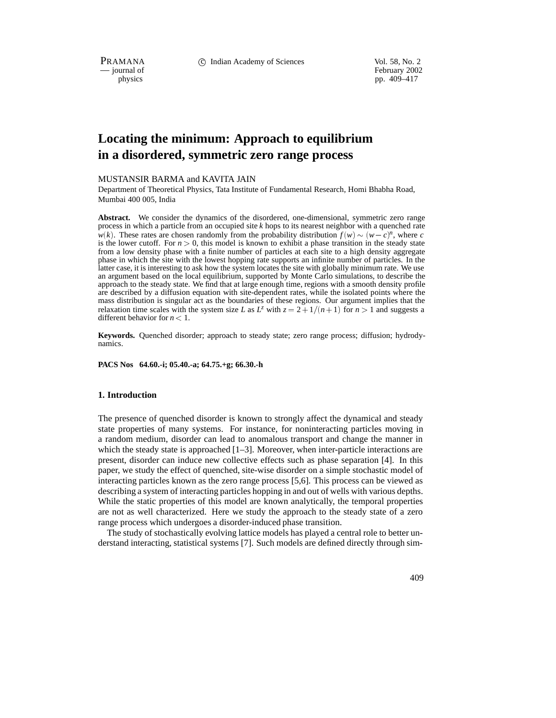PRAMANA c Indian Academy of Sciences Vol. 58, No. 2

position of February 2002<br>
physics pp. 409–417 pp. 409–417

# **Locating the minimum: Approach to equilibrium in a disordered, symmetric zero range process**

#### MUSTANSIR BARMA and KAVITA JAIN

Department of Theoretical Physics, Tata Institute of Fundamental Research, Homi Bhabha Road, Mumbai 400 005, India

**Abstract.** We consider the dynamics of the disordered, one-dimensional, symmetric zero range process in which a particle from an occupied site *k* hops to its nearest neighbor with a quenched rate  $w(k)$ . These rates are chosen randomly from the probability distribution  $f(w) \sim (w - c)^n$ , where *c* is the lower cutoff. For  $n > 0$ , this model is known to exhibit a phase transition in the steady state from a low density phase with a finite number of particles at each site to a high density aggregate phase in which the site with the lowest hopping rate supports an infinite number of particles. In the latter case, it is interesting to ask how the system locates the site with globally minimum rate. We use an argument based on the local equilibrium, supported by Monte Carlo simulations, to describe the approach to the steady state. We find that at large enough time, regions with a smooth density profile are described by a diffusion equation with site-dependent rates, while the isolated points where the mass distribution is singular act as the boundaries of these regions. Our argument implies that the relaxation time scales with the system size *L* as  $L^z$  with  $z = 2 + 1/(n + 1)$  for  $n > 1$  and suggests a different behavior for *n* <sup>&</sup>lt; 1.

**Keywords.** Quenched disorder; approach to steady state; zero range process; diffusion; hydrodynamics.

**PACS Nos 64.60.-i; 05.40.-a; 64.75.+g; 66.30.-h**

#### **1. Introduction**

The presence of quenched disorder is known to strongly affect the dynamical and steady state properties of many systems. For instance, for noninteracting particles moving in a random medium, disorder can lead to anomalous transport and change the manner in which the steady state is approached  $[1-3]$ . Moreover, when inter-particle interactions are present, disorder can induce new collective effects such as phase separation [4]. In this paper, we study the effect of quenched, site-wise disorder on a simple stochastic model of interacting particles known as the zero range process [5,6]. This process can be viewed as describing a system of interacting particles hopping in and out of wells with various depths. While the static properties of this model are known analytically, the temporal properties are not as well characterized. Here we study the approach to the steady state of a zero range process which undergoes a disorder-induced phase transition.

The study of stochastically evolving lattice models has played a central role to better understand interacting, statistical systems [7]. Such models are defined directly through sim-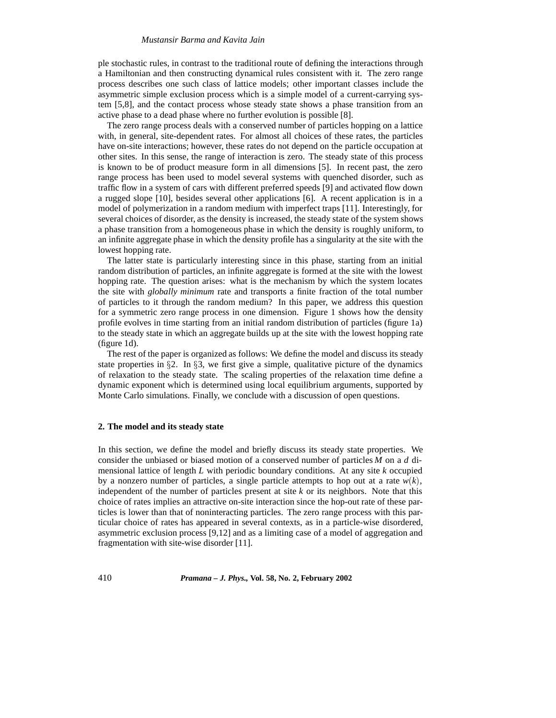#### *Mustansir Barma and Kavita Jain*

ple stochastic rules, in contrast to the traditional route of defining the interactions through a Hamiltonian and then constructing dynamical rules consistent with it. The zero range process describes one such class of lattice models; other important classes include the asymmetric simple exclusion process which is a simple model of a current-carrying system [5,8], and the contact process whose steady state shows a phase transition from an active phase to a dead phase where no further evolution is possible [8].

The zero range process deals with a conserved number of particles hopping on a lattice with, in general, site-dependent rates. For almost all choices of these rates, the particles have on-site interactions; however, these rates do not depend on the particle occupation at other sites. In this sense, the range of interaction is zero. The steady state of this process is known to be of product measure form in all dimensions [5]. In recent past, the zero range process has been used to model several systems with quenched disorder, such as traffic flow in a system of cars with different preferred speeds [9] and activated flow down a rugged slope [10], besides several other applications [6]. A recent application is in a model of polymerization in a random medium with imperfect traps [11]. Interestingly, for several choices of disorder, as the density is increased, the steady state of the system shows a phase transition from a homogeneous phase in which the density is roughly uniform, to an infinite aggregate phase in which the density profile has a singularity at the site with the lowest hopping rate.

The latter state is particularly interesting since in this phase, starting from an initial random distribution of particles, an infinite aggregate is formed at the site with the lowest hopping rate. The question arises: what is the mechanism by which the system locates the site with *globally minimum* rate and transports a finite fraction of the total number of particles to it through the random medium? In this paper, we address this question for a symmetric zero range process in one dimension. Figure 1 shows how the density profile evolves in time starting from an initial random distribution of particles (figure 1a) to the steady state in which an aggregate builds up at the site with the lowest hopping rate (figure 1d).

The rest of the paper is organized as follows: We define the model and discuss its steady state properties in  $\S2$ . In  $\S3$ , we first give a simple, qualitative picture of the dynamics of relaxation to the steady state. The scaling properties of the relaxation time define a dynamic exponent which is determined using local equilibrium arguments, supported by Monte Carlo simulations. Finally, we conclude with a discussion of open questions.

## **2. The model and its steady state**

In this section, we define the model and briefly discuss its steady state properties. We consider the unbiased or biased motion of a conserved number of particles *M* on a *d* dimensional lattice of length *L* with periodic boundary conditions. At any site *k* occupied by a nonzero number of particles, a single particle attempts to hop out at a rate  $w(k)$ , independent of the number of particles present at site *k* or its neighbors. Note that this choice of rates implies an attractive on-site interaction since the hop-out rate of these particles is lower than that of noninteracting particles. The zero range process with this particular choice of rates has appeared in several contexts, as in a particle-wise disordered, asymmetric exclusion process [9,12] and as a limiting case of a model of aggregation and fragmentation with site-wise disorder [11].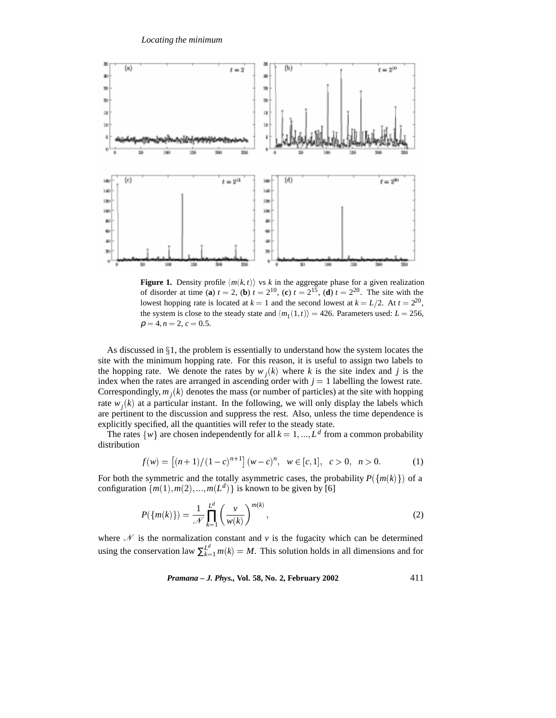

**Figure 1.** Density profile  $\langle m(k,t) \rangle$  vs k in the aggregate phase for a given realization of disorder at time (**a**)  $t = 2$ , (**b**)  $t = 2^{10}$ , (**c**)  $t = 2^{15}$ , (**d**)  $t = 2^{20}$ . The site with the lowest hopping rate is located at  $k = 1$  and the second lowest at  $k = L/2$ . At  $t = 2^{20}$ , the system is close to the steady state and  $\langle m_1(1,t) \rangle = 426$ . Parameters used:  $L = 256$ ,  $\rho = 4, n = 2, c = 0.5.$ 

As discussed in  $\S1$ , the problem is essentially to understand how the system locates the site with the minimum hopping rate. For this reason, it is useful to assign two labels to the hopping rate. We denote the rates by  $w_i(k)$  where k is the site index and j is the index when the rates are arranged in ascending order with  $j = 1$  labelling the lowest rate. Correspondingly,  $m_i(k)$  denotes the mass (or number of particles) at the site with hopping rate  $w_i(k)$  at a particular instant. In the following, we will only display the labels which are pertinent to the discussion and suppress the rest. Also, unless the time dependence is explicitly specified, all the quantities will refer to the steady state.

The rates  $\{w\}$  are chosen independently for all  $k = 1, ..., L^d$  from a common probability distribution

$$
f(w) = \left[ (n+1)/(1-c)^{n+1} \right] (w-c)^n, \ \ w \in [c,1], \ \ c > 0, \ \ n > 0. \tag{1}
$$

For both the symmetric and the totally asymmetric cases, the probability  $P({m(k)}$  of a configuration  $\{m(1), m(2), \ldots, m(L^d)\}\$ is known to be given by [6]

$$
P({m(k)} = \frac{1}{N} \prod_{k=1}^{L^{d}} \left(\frac{v}{w(k)}\right)^{m(k)},
$$
\n(2)

where  $\mathcal N$  is the normalization constant and  $\nu$  is the fugacity which can be determined using the conservation law  $\sum_{k=1}^{L^d} m(k) = M$ . This solution holds in all dimensions and for

*Pramana – J. Phys.,* **Vol. 58, No. 2, February 2002** 411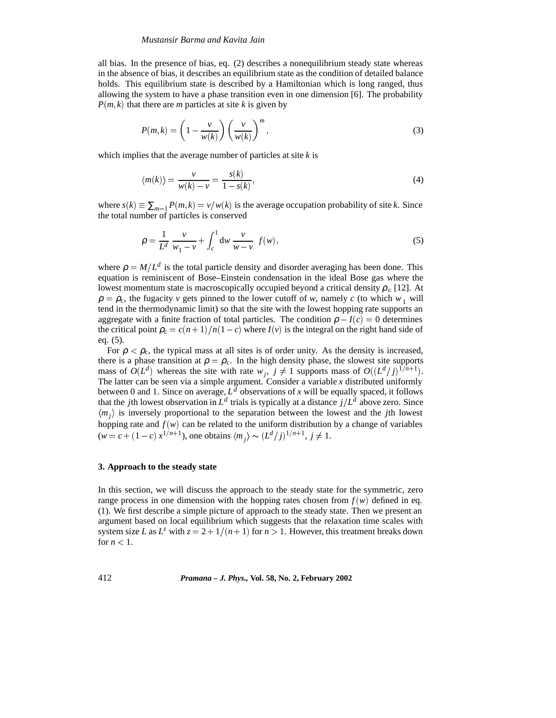#### *Mustansir Barma and Kavita Jain*

all bias. In the presence of bias, eq. (2) describes a nonequilibrium steady state whereas in the absence of bias, it describes an equilibrium state as the condition of detailed balance holds. This equilibrium state is described by a Hamiltonian which is long ranged, thus allowing the system to have a phase transition even in one dimension [6]. The probability  $P(m, k)$  that there are *m* particles at site *k* is given by

$$
P(m,k) = \left(1 - \frac{v}{w(k)}\right) \left(\frac{v}{w(k)}\right)^m,
$$
\n(3)

which implies that the average number of particles at site *k* is

$$
\langle m(k) \rangle = \frac{v}{w(k) - v} = \frac{s(k)}{1 - s(k)},\tag{4}
$$

where  $s(k) \equiv \sum_{m=1} P(m,k) = v/w(k)$  is the average occupation probability of site *k*. Since the total number of particles is conserved

$$
\rho = \frac{1}{L^d} \frac{v}{w_1 - v} + \int_c^1 dw \frac{v}{w - v} f(w),
$$
\n(5)

where  $\rho = M/L^d$  is the total particle density and disorder averaging has been done. This equation is reminiscent of Bose–Einstein condensation in the ideal Bose gas where the lowest momentum state is macroscopically occupied beyond a critical density  $\rho_c$  [12]. At  $\rho = \rho_c$ , the fugacity *v* gets pinned to the lower cutoff of *w*, namely *c* (to which  $w_1$  will tend in the thermodynamic limit) so that the site with the lowest hopping rate supports an aggregate with a finite fraction of total particles. The condition  $\rho - I(c) = 0$  determines the critical point  $\rho_c = c(n+1)/n(1-c)$  where  $I(v)$  is the integral on the right hand side of eq. (5).

For  $\rho < \rho_c$ , the typical mass at all sites is of order unity. As the density is increased, there is a phase transition at  $\rho = \rho_c$ . In the high density phase, the slowest site supports mass of  $O(L^d)$  whereas the site with rate  $w_j$ ,  $j \neq 1$  supports mass of  $O((L^d/j)^{1/n+1})$ . The latter can be seen via a simple argument. Consider a variable *x* distributed uniformly between 0 and 1. Since on average,  $L^d$  observations of *x* will be equally spaced, it follows that the *j*th lowest observation in  $L^d$  trials is typically at a distance  $j/L^d$  above zero. Since  $\langle m_i \rangle$  is inversely proportional to the separation between the lowest and the *j*th lowest hopping rate and  $f(w)$  can be related to the uniform distribution by a change of variables  $(w = c + (1 - c) x^{1/n+1}$ , one obtains  $\langle m_j \rangle \sim (L^d / j)^{1/n+1}, j \neq 1$ .

#### **3. Approach to the steady state**

In this section, we will discuss the approach to the steady state for the symmetric, zero range process in one dimension with the hopping rates chosen from  $f(w)$  defined in eq. (1). We first describe a simple picture of approach to the steady state. Then we present an argument based on local equilibrium which suggests that the relaxation time scales with system size *L* as  $L^z$  with  $z = 2 + 1/(n + 1)$  for  $n > 1$ . However, this treatment breaks down for  $n < 1$ .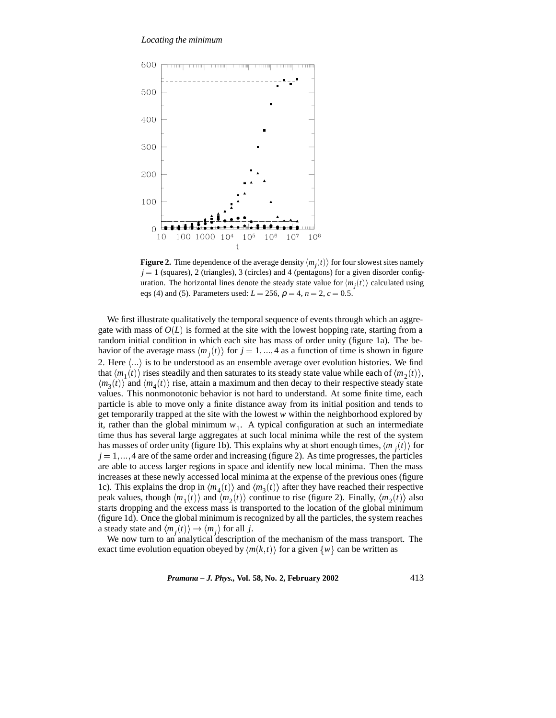

**Figure 2.** Time dependence of the average density  $\langle m_i(t) \rangle$  for four slowest sites namely  $j = 1$  (squares), 2 (triangles), 3 (circles) and 4 (pentagons) for a given disorder configuration. The horizontal lines denote the steady state value for  $\langle m_i(t) \rangle$  calculated using eqs (4) and (5). Parameters used:  $L = 256$ ,  $\rho = 4$ ,  $n = 2$ ,  $c = 0.5$ .

We first illustrate qualitatively the temporal sequence of events through which an aggregate with mass of  $O(L)$  is formed at the site with the lowest hopping rate, starting from a random initial condition in which each site has mass of order unity (figure 1a). The behavior of the average mass  $\langle m_i(t) \rangle$  for  $j = 1, ..., 4$  as a function of time is shown in figure 2. Here  $\langle \ldots \rangle$  is to be understood as an ensemble average over evolution histories. We find that  $\langle m_1(t) \rangle$  rises steadily and then saturates to its steady state value while each of  $\langle m_2(t) \rangle$ ,  $\langle m_3(t) \rangle$  and  $\langle m_4(t) \rangle$  rise, attain a maximum and then decay to their respective steady state values. This nonmonotonic behavior is not hard to understand. At some finite time, each particle is able to move only a finite distance away from its initial position and tends to get temporarily trapped at the site with the lowest *w* within the neighborhood explored by it, rather than the global minimum  $w_1$ . A typical configuration at such an intermediate time thus has several large aggregates at such local minima while the rest of the system has masses of order unity (figure 1b). This explains why at short enough times,  $\langle m_i(t) \rangle$  for  $j = 1, \ldots, 4$  are of the same order and increasing (figure 2). As time progresses, the particles are able to access larger regions in space and identify new local minima. Then the mass increases at these newly accessed local minima at the expense of the previous ones (figure 1c). This explains the drop in  $\langle m_4(t) \rangle$  and  $\langle m_3(t) \rangle$  after they have reached their respective peak values, though  $\langle m_1(t) \rangle$  and  $\langle m_2(t) \rangle$  continue to rise (figure 2). Finally,  $\langle m_2(t) \rangle$  also starts dropping and the excess mass is transported to the location of the global minimum (figure 1d). Once the global minimum is recognized by all the particles, the system reaches a steady state and  $\langle m_i(t) \rangle \rightarrow \langle m_i \rangle$  for all *j*.

We now turn to an analytical description of the mechanism of the mass transport. The exact time evolution equation obeyed by  $\langle m(k, t) \rangle$  for a given  $\{w\}$  can be written as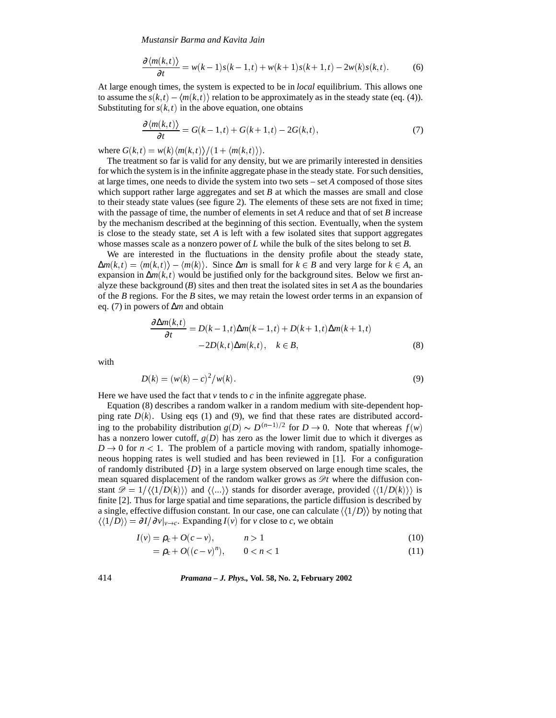*Mustansir Barma and Kavita Jain*

$$
\frac{\partial \langle m(k,t) \rangle}{\partial t} = w(k-1)s(k-1,t) + w(k+1)s(k+1,t) - 2w(k)s(k,t). \tag{6}
$$

At large enough times, the system is expected to be in *local* equilibrium. This allows one to assume the  $s(k,t) - \langle m(k,t) \rangle$  relation to be approximately as in the steady state (eq. (4)). Substituting for  $s(k, t)$  in the above equation, one obtains

$$
\frac{\partial \langle m(k,t) \rangle}{\partial t} = G(k-1,t) + G(k+1,t) - 2G(k,t),\tag{7}
$$

where  $G(k, t) = w(k) \langle m(k, t) \rangle / (1 + \langle m(k, t) \rangle).$ 

The treatment so far is valid for any density, but we are primarily interested in densities for which the system is in the infinite aggregate phase in the steady state. For such densities, at large times, one needs to divide the system into two sets – set *A* composed of those sites which support rather large aggregates and set  $B$  at which the masses are small and close to their steady state values (see figure 2). The elements of these sets are not fixed in time; with the passage of time, the number of elements in set  $A$  reduce and that of set  $B$  increase by the mechanism described at the beginning of this section. Eventually, when the system is close to the steady state, set *A* is left with a few isolated sites that support aggregates whose masses scale as a nonzero power of *L* while the bulk of the sites belong to set *B*.

We are interested in the fluctuations in the density profile about the steady state,  $\Delta m(k,t) = \langle m(k,t) \rangle - \langle m(k) \rangle$ . Since  $\Delta m$  is small for  $k \in B$  and very large for  $k \in A$ , an expansion in ∆*m*(*k*; *t* ) would be justified only for the background sites. Below we first analyze these background  $(B)$  sites and then treat the isolated sites in set  $A$  as the boundaries of the *B* regions. For the *B* sites, we may retain the lowest order terms in an expansion of eq. (7) in powers of ∆*m* and obtain

$$
\frac{\partial \Delta m(k,t)}{\partial t} = D(k-1,t)\Delta m(k-1,t) + D(k+1,t)\Delta m(k+1,t)
$$
  
-2D(k,t)\Delta m(k,t), k \in B, (8)

with

$$
D(k) = (w(k) - c)^2 / w(k).
$$
\n(9)

Here we have used the fact that  $\nu$  tends to  $c$  in the infinite aggregate phase.

Equation (8) describes a random walker in a random medium with site-dependent hopping rate  $D(k)$ . Using eqs (1) and (9), we find that these rates are distributed according to the probability distribution  $g(D) \sim D^{(n-1)/2}$  for  $D \to 0$ . Note that whereas  $f(w)$ has a nonzero lower cutoff,  $g(D)$  has zero as the lower limit due to which it diverges as  $D \rightarrow 0$  for  $n < 1$ . The problem of a particle moving with random, spatially inhomogeneous hopping rates is well studied and has been reviewed in [1]. For a configuration of randomly distributed  $\{D\}$  in a large system observed on large enough time scales, the mean squared displacement of the random walker grows as  $\mathscr{D}t$  where the diffusion constant  $\mathcal{D} = 1/\langle\langle1/D(k)\rangle\rangle$  and  $\langle\langle...\rangle\rangle$  stands for disorder average, provided  $\langle\langle1/D(k)\rangle\rangle$  is finite [2]. Thus for large spatial and time separations, the particle diffusion is described by a single, effective diffusion constant. In our case, one can calculate  $\langle\langle 1/D \rangle\rangle$  by noting that  $\langle \langle 1/D \rangle \rangle = \partial I/\partial v|_{v \to c}$ . Expanding *I*(*v*) for *v* close to *c*, we obtain

$$
I(v) = \rho_c + O(c - v), \qquad n > 1 \tag{10}
$$

$$
= \rho_c + O((c - v)^n), \qquad 0 < n < 1 \tag{11}
$$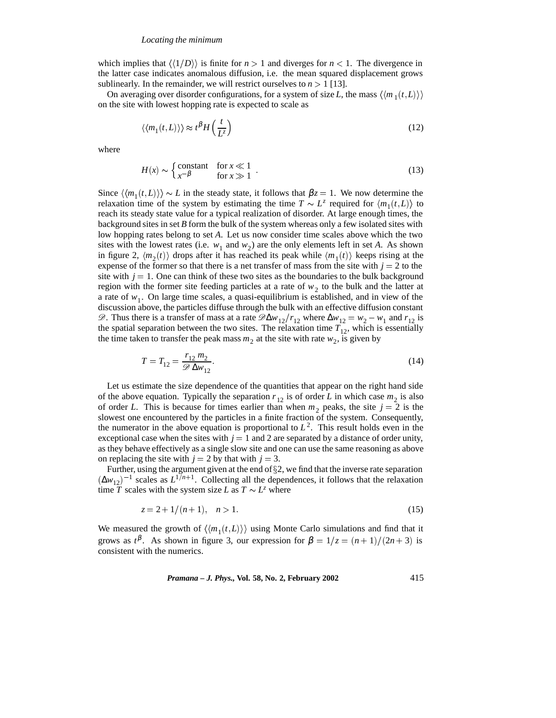which implies that  $\langle\langle 1/D \rangle\rangle$  is finite for  $n > 1$  and diverges for  $n < 1$ . The divergence in the latter case indicates anomalous diffusion, i.e. the mean squared displacement grows sublinearly. In the remainder, we will restrict ourselves to  $n > 1$  [13].

On averaging over disorder configurations, for a system of size *L*, the mass  $\langle \langle m_1(t,L) \rangle \rangle$ on the site with lowest hopping rate is expected to scale as

$$
\langle \langle m_1(t, L) \rangle \rangle \approx t^{\beta} H \left( \frac{t}{L^z} \right) \tag{12}
$$

where

$$
H(x) \sim \begin{cases} \text{constant} & \text{for } x \ll 1\\ x^{-\beta} & \text{for } x \gg 1 \end{cases} \tag{13}
$$

Since  $\langle \langle m_1(t,L) \rangle \rangle \sim L$  in the steady state, it follows that  $\beta z = 1$ . We now determine the relaxation time of the system by estimating the time  $T \sim L^z$  required for  $\langle m_1(t,L) \rangle$  to reach its steady state value for a typical realization of disorder. At large enough times, the background sites in set *B* form the bulk of the system whereas only a few isolated sites with low hopping rates belong to set *A*. Let us now consider time scales above which the two sites with the lowest rates (i.e.  $w_1$  and  $w_2$ ) are the only elements left in set *A*. As shown in figure 2,  $\langle m_2(t) \rangle$  drops after it has reached its peak while  $\langle m_1(t) \rangle$  keeps rising at the expense of the former so that there is a net transfer of mass from the site with  $j = 2$  to the site with  $j = 1$ . One can think of these two sites as the boundaries to the bulk background region with the former site feeding particles at a rate of  $w<sub>2</sub>$  to the bulk and the latter at a rate of  $w_1$ . On large time scales, a quasi-equilibrium is established, and in view of the discussion above, the particles diffuse through the bulk with an effective diffusion constant  $\mathscr{D}$ . Thus there is a transfer of mass at a rate  $\mathscr{D}\Delta w_{12}/r_{12}$  where  $\Delta w_{12} = w_2 - w_1$  and  $r_{12}$  is the spatial separation between the two sites. The relaxation time  $T_{12}$ , which is essentially the time taken to transfer the peak mass  $m_2$  at the site with rate  $w_2$ , is given by

$$
T = T_{12} = \frac{r_{12} m_2}{\mathcal{D} \Delta w_{12}}.
$$
\n(14)

Let us estimate the size dependence of the quantities that appear on the right hand side of the above equation. Typically the separation  $r_{12}$  is of order *L* in which case  $m_2$  is also of order *L*. This is because for times earlier than when  $m_2$  peaks, the site  $j = 2$  is the slowest one encountered by the particles in a finite fraction of the system. Consequently, the numerator in the above equation is proportional to  $L<sup>2</sup>$ . This result holds even in the exceptional case when the sites with  $j = 1$  and 2 are separated by a distance of order unity, as they behave effectively as a single slow site and one can use the same reasoning as above on replacing the site with  $j = 2$  by that with  $j = 3$ .

Further, using the argument given at the end of  $\S2$ , we find that the inverse rate separation  $(\Delta w_{12})^{-1}$  scales as  $L^{1/n+1}$ . Collecting all the dependences, it follows that the relaxation time  $\overline{T}$  scales with the system size *L* as  $T \sim L^z$  where

$$
z = 2 + 1/(n+1), \quad n > 1. \tag{15}
$$

We measured the growth of  $\langle\langle m_1(t,L)\rangle\rangle$  using Monte Carlo simulations and find that it grows as  $t^{\beta}$ . As shown in figure 3, our expression for  $\beta = 1/z = (n+1)/(2n+3)$  is consistent with the numerics.

*Pramana – J. Phys.,* **Vol. 58, No. 2, February 2002** 415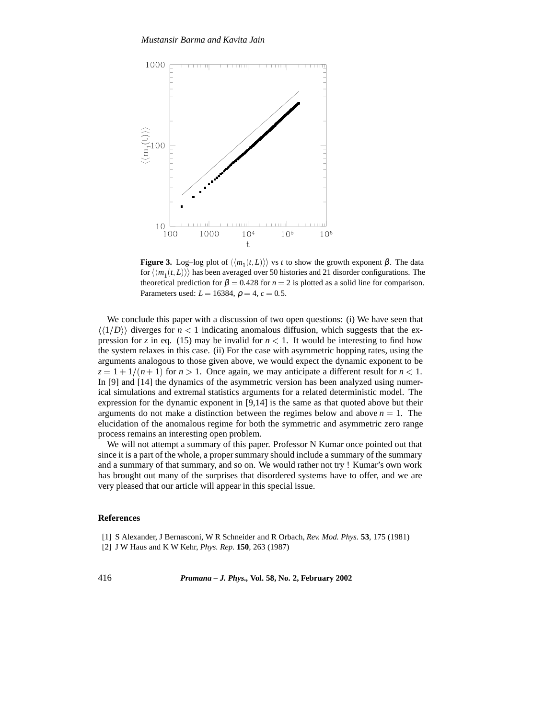

**Figure 3.** Log–log plot of  $\langle\langle m_1(t,L)\rangle\rangle$  vs *t* to show the growth exponent  $\beta$ . The data for  $\langle\langle m_1(t,L)\rangle\rangle$  has been averaged over 50 histories and 21 disorder configurations. The theoretical prediction for  $\beta = 0.428$  for  $n = 2$  is plotted as a solid line for comparison. Parameters used:  $L = 16384$ ,  $\rho = 4$ ,  $c = 0.5$ .

We conclude this paper with a discussion of two open questions: (i) We have seen that  $\langle\langle 1/D \rangle\rangle$  diverges for  $n < 1$  indicating anomalous diffusion, which suggests that the expression for *z* in eq. (15) may be invalid for  $n < 1$ . It would be interesting to find how the system relaxes in this case. (ii) For the case with asymmetric hopping rates, using the arguments analogous to those given above, we would expect the dynamic exponent to be  $z = 1 + 1/(n + 1)$  for  $n > 1$ . Once again, we may anticipate a different result for  $n < 1$ . In [9] and [14] the dynamics of the asymmetric version has been analyzed using numerical simulations and extremal statistics arguments for a related deterministic model. The expression for the dynamic exponent in [9,14] is the same as that quoted above but their arguments do not make a distinction between the regimes below and above  $n = 1$ . The elucidation of the anomalous regime for both the symmetric and asymmetric zero range process remains an interesting open problem.

We will not attempt a summary of this paper. Professor N Kumar once pointed out that since it is a part of the whole, a proper summary should include a summary of the summary and a summary of that summary, and so on. We would rather not try ! Kumar's own work has brought out many of the surprises that disordered systems have to offer, and we are very pleased that our article will appear in this special issue.

# **References**

[1] S Alexander, J Bernasconi, W R Schneider and R Orbach, *Rev. Mod. Phys.* **53**, 175 (1981)

[2] J W Haus and K W Kehr, *Phys. Rep.* **150**, 263 (1987)